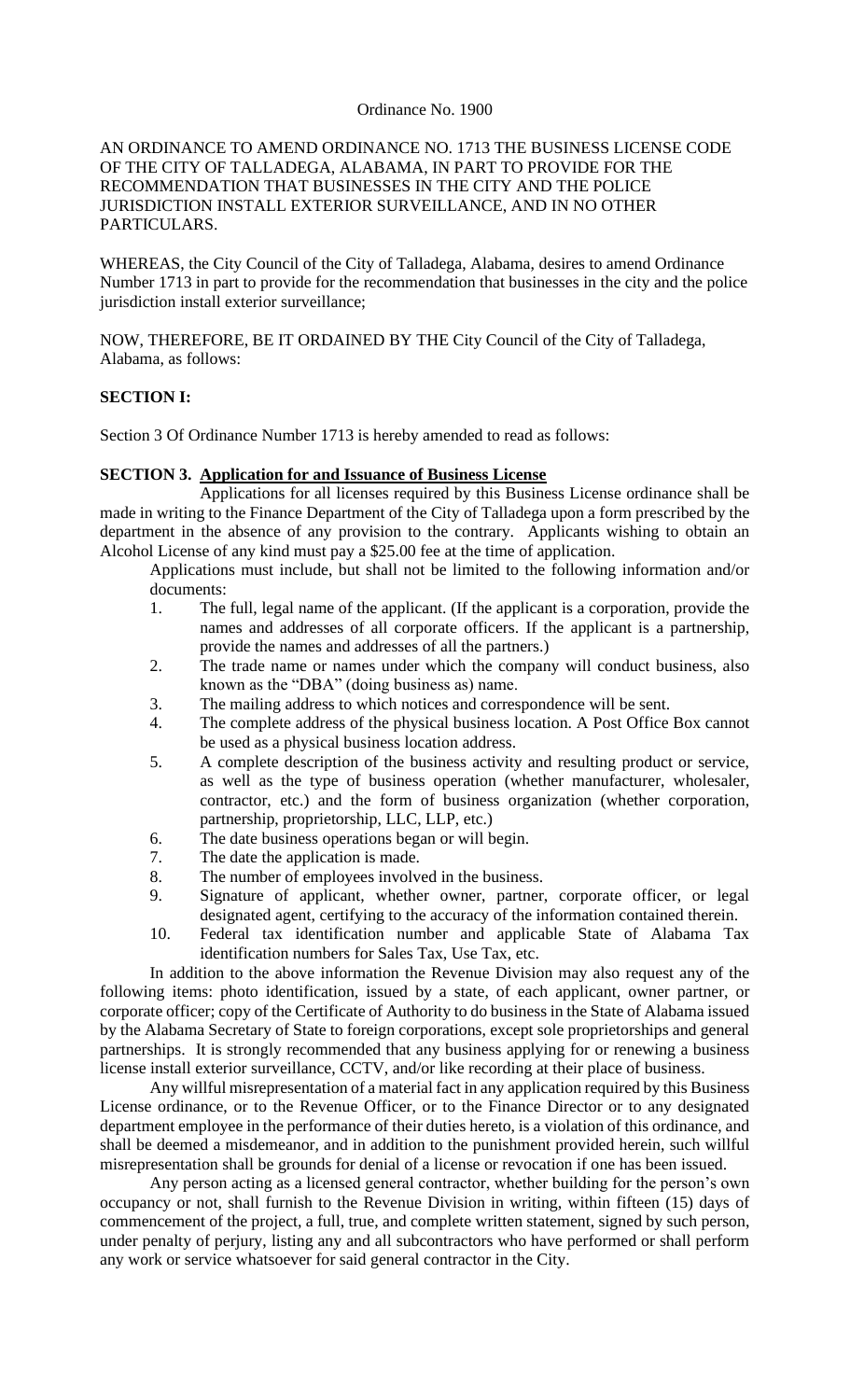#### Ordinance No. 1900

### AN ORDINANCE TO AMEND ORDINANCE NO. 1713 THE BUSINESS LICENSE CODE OF THE CITY OF TALLADEGA, ALABAMA, IN PART TO PROVIDE FOR THE RECOMMENDATION THAT BUSINESSES IN THE CITY AND THE POLICE JURISDICTION INSTALL EXTERIOR SURVEILLANCE, AND IN NO OTHER PARTICULARS.

WHEREAS, the City Council of the City of Talladega, Alabama, desires to amend Ordinance Number 1713 in part to provide for the recommendation that businesses in the city and the police jurisdiction install exterior surveillance;

NOW, THEREFORE, BE IT ORDAINED BY THE City Council of the City of Talladega, Alabama, as follows:

#### **SECTION I:**

Section 3 Of Ordinance Number 1713 is hereby amended to read as follows:

#### **SECTION 3. Application for and Issuance of Business License**

Applications for all licenses required by this Business License ordinance shall be made in writing to the Finance Department of the City of Talladega upon a form prescribed by the department in the absence of any provision to the contrary. Applicants wishing to obtain an Alcohol License of any kind must pay a \$25.00 fee at the time of application.

Applications must include, but shall not be limited to the following information and/or documents:

- 1. The full, legal name of the applicant. (If the applicant is a corporation, provide the names and addresses of all corporate officers. If the applicant is a partnership, provide the names and addresses of all the partners.)
- 2. The trade name or names under which the company will conduct business, also known as the "DBA" (doing business as) name.
- 3. The mailing address to which notices and correspondence will be sent.
- 4. The complete address of the physical business location. A Post Office Box cannot be used as a physical business location address.
- 5. A complete description of the business activity and resulting product or service, as well as the type of business operation (whether manufacturer, wholesaler, contractor, etc.) and the form of business organization (whether corporation, partnership, proprietorship, LLC, LLP, etc.)
- 6. The date business operations began or will begin.
- 7. The date the application is made.
- 8. The number of employees involved in the business.
- 9. Signature of applicant, whether owner, partner, corporate officer, or legal designated agent, certifying to the accuracy of the information contained therein.
- 10. Federal tax identification number and applicable State of Alabama Tax identification numbers for Sales Tax, Use Tax, etc.

In addition to the above information the Revenue Division may also request any of the following items: photo identification, issued by a state, of each applicant, owner partner, or corporate officer; copy of the Certificate of Authority to do business in the State of Alabama issued by the Alabama Secretary of State to foreign corporations, except sole proprietorships and general partnerships. It is strongly recommended that any business applying for or renewing a business license install exterior surveillance, CCTV, and/or like recording at their place of business.

Any willful misrepresentation of a material fact in any application required by this Business License ordinance, or to the Revenue Officer, or to the Finance Director or to any designated department employee in the performance of their duties hereto, is a violation of this ordinance, and shall be deemed a misdemeanor, and in addition to the punishment provided herein, such willful misrepresentation shall be grounds for denial of a license or revocation if one has been issued.

Any person acting as a licensed general contractor, whether building for the person's own occupancy or not, shall furnish to the Revenue Division in writing, within fifteen (15) days of commencement of the project, a full, true, and complete written statement, signed by such person, under penalty of perjury, listing any and all subcontractors who have performed or shall perform any work or service whatsoever for said general contractor in the City.